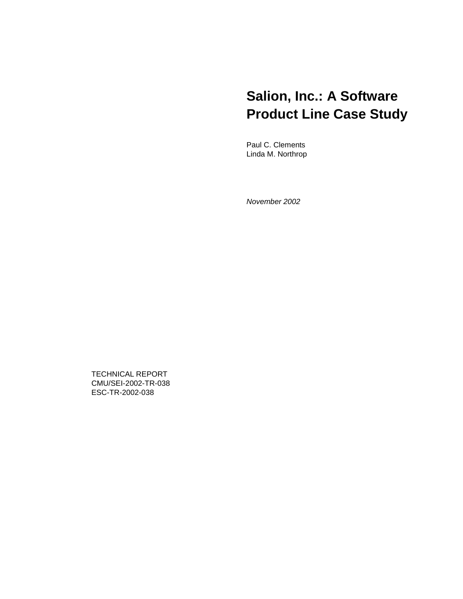# **Salion, Inc.: A Software Product Line Case Study**

Paul C. Clements Linda M. Northrop

November 2002

TECHNICAL REPORT CMU/SEI-2002-TR-038 ESC-TR-2002-038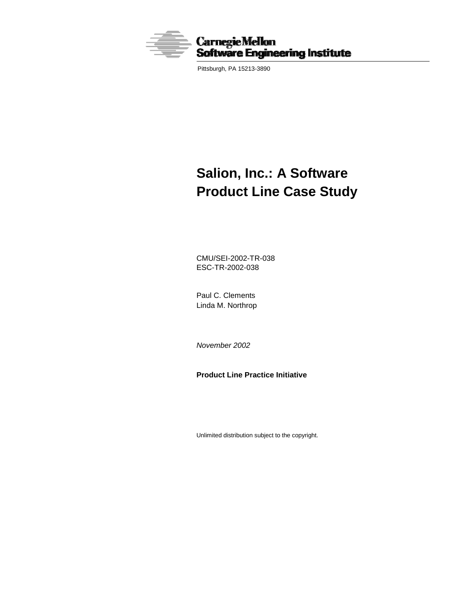

Pittsburgh, PA 15213-3890

# **Salion, Inc.: A Software Product Line Case Study**

CMU/SEI-2002-TR-038 ESC-TR-2002-038

Paul C. Clements Linda M. Northrop

November 2002

**Product Line Practice Initiative** 

Unlimited distribution subject to the copyright.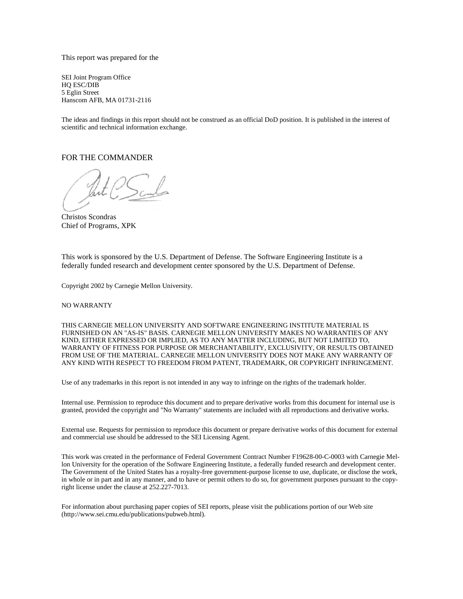This report was prepared for the

SEI Joint Program Office HQ ESC/DIB 5 Eglin Street Hanscom AFB, MA 01731-2116

The ideas and findings in this report should not be construed as an official DoD position. It is published in the interest of scientific and technical information exchange.

FOR THE COMMANDER

Christos Scondras Chief of Programs, XPK

This work is sponsored by the U.S. Department of Defense. The Software Engineering Institute is a federally funded research and development center sponsored by the U.S. Department of Defense.

Copyright 2002 by Carnegie Mellon University.

NO WARRANTY

THIS CARNEGIE MELLON UNIVERSITY AND SOFTWARE ENGINEERING INSTITUTE MATERIAL IS FURNISHED ON AN "AS-IS" BASIS. CARNEGIE MELLON UNIVERSITY MAKES NO WARRANTIES OF ANY KIND, EITHER EXPRESSED OR IMPLIED, AS TO ANY MATTER INCLUDING, BUT NOT LIMITED TO, WARRANTY OF FITNESS FOR PURPOSE OR MERCHANTABILITY, EXCLUSIVITY, OR RESULTS OBTAINED FROM USE OF THE MATERIAL. CARNEGIE MELLON UNIVERSITY DOES NOT MAKE ANY WARRANTY OF ANY KIND WITH RESPECT TO FREEDOM FROM PATENT, TRADEMARK, OR COPYRIGHT INFRINGEMENT.

Use of any trademarks in this report is not intended in any way to infringe on the rights of the trademark holder.

Internal use. Permission to reproduce this document and to prepare derivative works from this document for internal use is granted, provided the copyright and "No Warranty" statements are included with all reproductions and derivative works.

External use. Requests for permission to reproduce this document or prepare derivative works of this document for external and commercial use should be addressed to the SEI Licensing Agent.

This work was created in the performance of Federal Government Contract Number F19628-00-C-0003 with Carnegie Mellon University for the operation of the Software Engineering Institute, a federally funded research and development center. The Government of the United States has a royalty-free government-purpose license to use, duplicate, or disclose the work, in whole or in part and in any manner, and to have or permit others to do so, for government purposes pursuant to the copyright license under the clause at 252.227-7013.

For information about purchasing paper copies of SEI reports, please visit the publications portion of our Web site (http://www.sei.cmu.edu/publications/pubweb.html).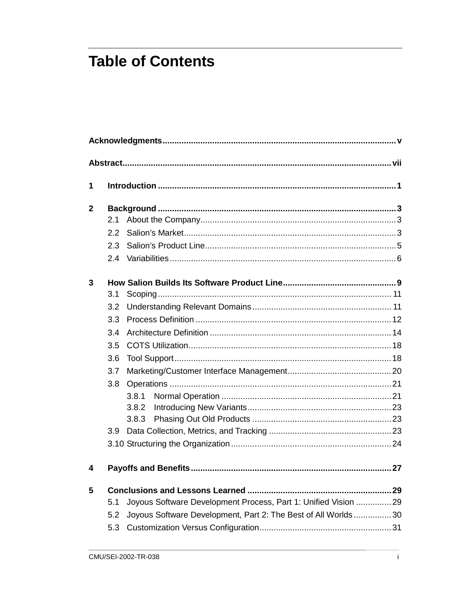# **Table of Contents**

| $\mathbf{1}$ |                                                                   |                                                                                                                                  |  |  |
|--------------|-------------------------------------------------------------------|----------------------------------------------------------------------------------------------------------------------------------|--|--|
| $\mathbf{2}$ | 2.1<br>2.2<br>2.3                                                 |                                                                                                                                  |  |  |
| 3            | 3.1<br>3.2<br>3.3 <sub>2</sub><br>3.4<br>3.5<br>3.6<br>3.7<br>3.8 | 3.8.1<br>3.8.2<br>3.8.3                                                                                                          |  |  |
| 4            |                                                                   |                                                                                                                                  |  |  |
| 5            | 5.1<br>5.2<br>5.3                                                 | Joyous Software Development Process, Part 1: Unified Vision  29<br>Joyous Software Development, Part 2: The Best of All Worlds30 |  |  |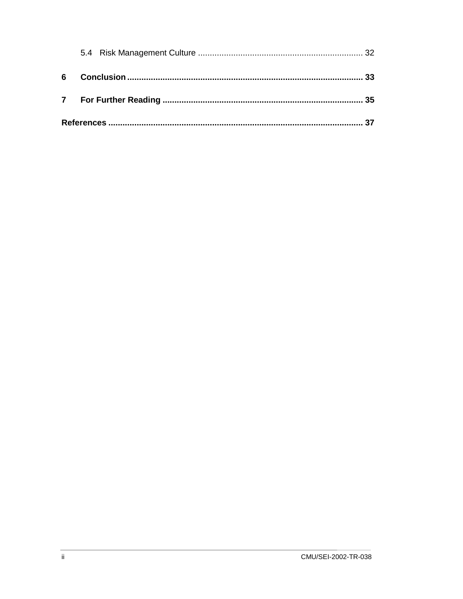| 6 |  |
|---|--|
|   |  |
|   |  |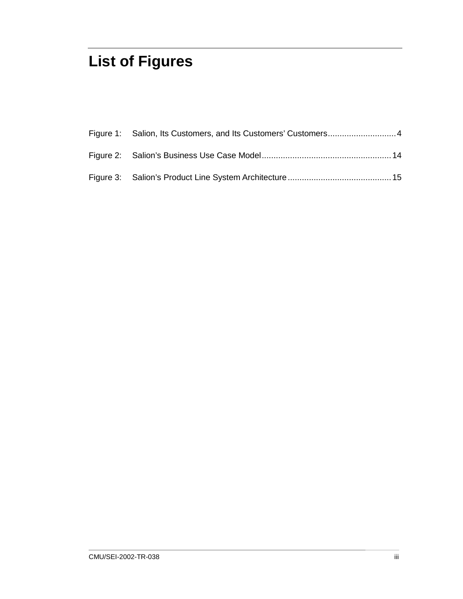# **List of Figures**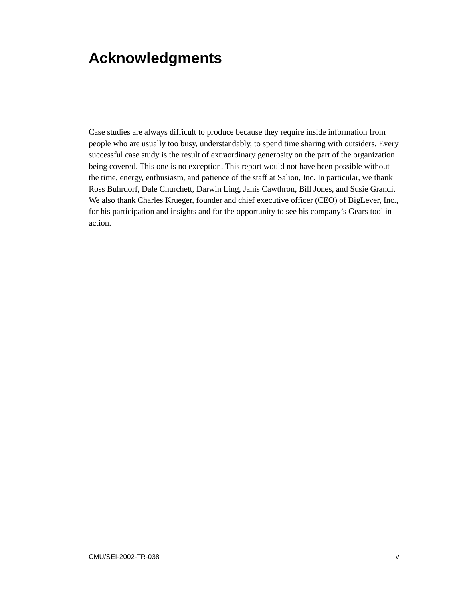# **Acknowledgments**

Case studies are always difficult to produce because they require inside information from people who are usually too busy, understandably, to spend time sharing with outsiders. Every successful case study is the result of extraordinary generosity on the part of the organization being covered. This one is no exception. This report would not have been possible without the time, energy, enthusiasm, and patience of the staff at Salion, Inc. In particular, we thank Ross Buhrdorf, Dale Churchett, Darwin Ling, Janis Cawthron, Bill Jones, and Susie Grandi. We also thank Charles Krueger, founder and chief executive officer (CEO) of BigLever, Inc., for his participation and insights and for the opportunity to see his company's Gears tool in action.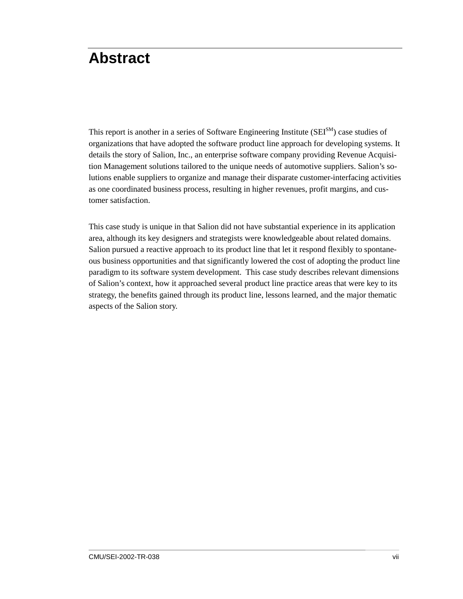# **Abstract**

This report is another in a series of Software Engineering Institute (SEI<sup>SM</sup>) case studies of organizations that have adopted the software product line approach for developing systems. It details the story of Salion, Inc., an enterprise software company providing Revenue Acquisition Management solutions tailored to the unique needs of automotive suppliers. Salion's solutions enable suppliers to organize and manage their disparate customer-interfacing activities as one coordinated business process, resulting in higher revenues, profit margins, and customer satisfaction.

This case study is unique in that Salion did not have substantial experience in its application area, although its key designers and strategists were knowledgeable about related domains. Salion pursued a reactive approach to its product line that let it respond flexibly to spontaneous business opportunities and that significantly lowered the cost of adopting the product line paradigm to its software system development. This case study describes relevant dimensions of Salion's context, how it approached several product line practice areas that were key to its strategy, the benefits gained through its product line, lessons learned, and the major thematic aspects of the Salion story.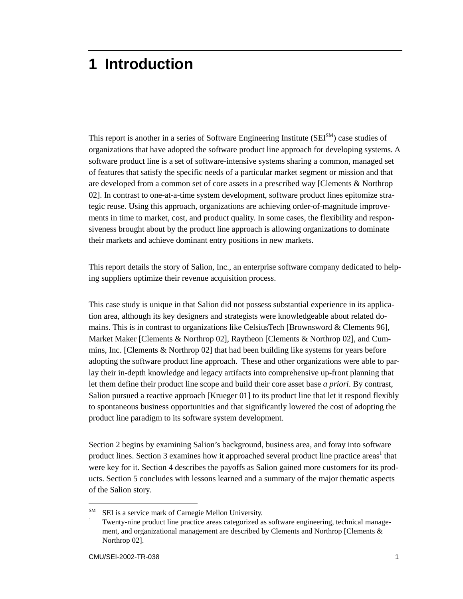## **1 Introduction**

This report is another in a series of Software Engineering Institute (SEI<sup>SM</sup>) case studies of organizations that have adopted the software product line approach for developing systems. A software product line is a set of software-intensive systems sharing a common, managed set of features that satisfy the specific needs of a particular market segment or mission and that are developed from a common set of core assets in a prescribed way [Clements & Northrop 02]. In contrast to one-at-a-time system development, software product lines epitomize strategic reuse. Using this approach, organizations are achieving order-of-magnitude improvements in time to market, cost, and product quality. In some cases, the flexibility and responsiveness brought about by the product line approach is allowing organizations to dominate their markets and achieve dominant entry positions in new markets.

This report details the story of Salion, Inc., an enterprise software company dedicated to helping suppliers optimize their revenue acquisition process.

This case study is unique in that Salion did not possess substantial experience in its application area, although its key designers and strategists were knowledgeable about related domains. This is in contrast to organizations like CelsiusTech [Brownsword & Clements 96], Market Maker [Clements & Northrop 02], Raytheon [Clements & Northrop 02], and Cummins, Inc. [Clements & Northrop 02] that had been building like systems for years before adopting the software product line approach. These and other organizations were able to parlay their in-depth knowledge and legacy artifacts into comprehensive up-front planning that let them define their product line scope and build their core asset base *a priori*. By contrast, Salion pursued a reactive approach [Krueger 01] to its product line that let it respond flexibly to spontaneous business opportunities and that significantly lowered the cost of adopting the product line paradigm to its software system development.

Section 2 begins by examining Salion's background, business area, and foray into software product lines. Section 3 examines how it approached several product line practice areas<sup>1</sup> that were key for it. Section 4 describes the payoffs as Salion gained more customers for its products. Section 5 concludes with lessons learned and a summary of the major thematic aspects of the Salion story.

 $\frac{SN}{I}$  SEI is a service mark of Carnegie Mellon University.

Twenty-nine product line practice areas categorized as software engineering, technical management, and organizational management are described by Clements and Northrop [Clements & Northrop 02].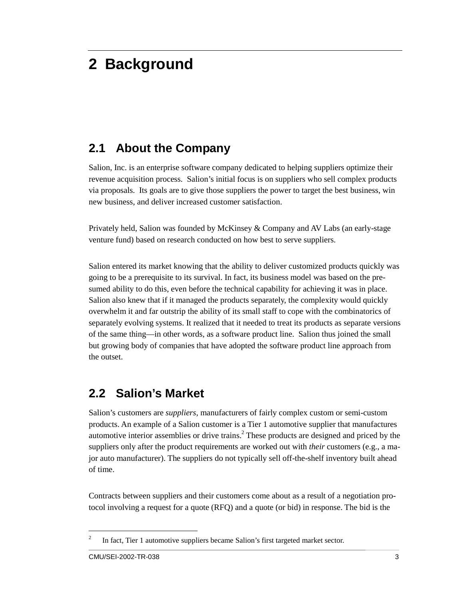# **2 Background**

#### **2.1 About the Company**

Salion, Inc. is an enterprise software company dedicated to helping suppliers optimize their revenue acquisition process. Salion's initial focus is on suppliers who sell complex products via proposals. Its goals are to give those suppliers the power to target the best business, win new business, and deliver increased customer satisfaction.

Privately held, Salion was founded by McKinsey & Company and AV Labs (an early-stage venture fund) based on research conducted on how best to serve suppliers.

Salion entered its market knowing that the ability to deliver customized products quickly was going to be a prerequisite to its survival. In fact, its business model was based on the presumed ability to do this, even before the technical capability for achieving it was in place. Salion also knew that if it managed the products separately, the complexity would quickly overwhelm it and far outstrip the ability of its small staff to cope with the combinatorics of separately evolving systems. It realized that it needed to treat its products as separate versions of the same thing—in other words, as a software product line. Salion thus joined the small but growing body of companies that have adopted the software product line approach from the outset.

#### **2.2 Salion's Market**

Salion's customers are *suppliers*, manufacturers of fairly complex custom or semi-custom products. An example of a Salion customer is a Tier 1 automotive supplier that manufactures automotive interior assemblies or drive trains.<sup>2</sup> These products are designed and priced by the suppliers only after the product requirements are worked out with *their* customers (e.g., a major auto manufacturer). The suppliers do not typically sell off-the-shelf inventory built ahead of time.

Contracts between suppliers and their customers come about as a result of a negotiation protocol involving a request for a quote (RFQ) and a quote (or bid) in response. The bid is the

<sup>2</sup> In fact, Tier 1 automotive suppliers became Salion's first targeted market sector.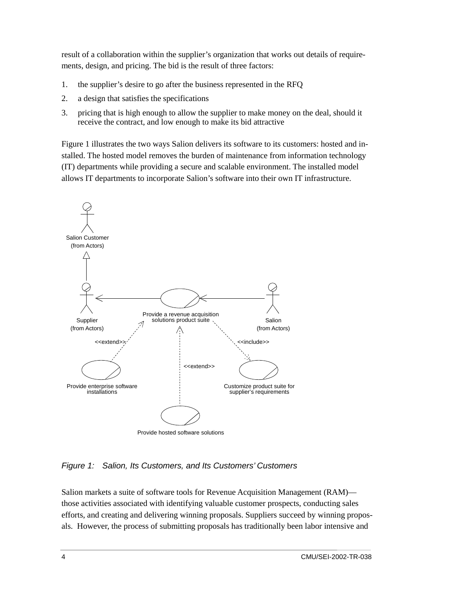result of a collaboration within the supplier's organization that works out details of requirements, design, and pricing. The bid is the result of three factors:

- 1. the supplier's desire to go after the business represented in the RFQ
- 2. a design that satisfies the specifications
- 3. pricing that is high enough to allow the supplier to make money on the deal, should it receive the contract, and low enough to make its bid attractive

Figure 1 illustrates the two ways Salion delivers its software to its customers: hosted and installed. The hosted model removes the burden of maintenance from information technology (IT) departments while providing a secure and scalable environment. The installed model allows IT departments to incorporate Salion's software into their own IT infrastructure.



#### Figure 1: Salion, Its Customers, and Its Customers' Customers

Salion markets a suite of software tools for Revenue Acquisition Management (RAM) those activities associated with identifying valuable customer prospects, conducting sales efforts, and creating and delivering winning proposals. Suppliers succeed by winning proposals. However, the process of submitting proposals has traditionally been labor intensive and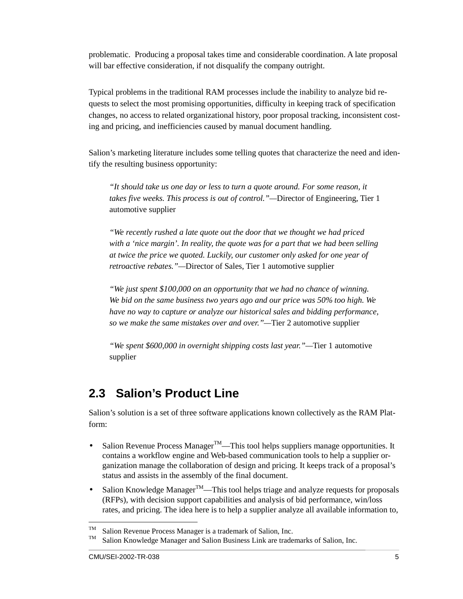problematic. Producing a proposal takes time and considerable coordination. A late proposal will bar effective consideration, if not disqualify the company outright.

Typical problems in the traditional RAM processes include the inability to analyze bid requests to select the most promising opportunities, difficulty in keeping track of specification changes, no access to related organizational history, poor proposal tracking, inconsistent costing and pricing, and inefficiencies caused by manual document handling.

Salion's marketing literature includes some telling quotes that characterize the need and identify the resulting business opportunity:

*"It should take us one day or less to turn a quote around. For some reason, it takes five weeks. This process is out of control."—*Director of Engineering, Tier 1 automotive supplier

*"We recently rushed a late quote out the door that we thought we had priced with a 'nice margin'. In reality, the quote was for a part that we had been selling at twice the price we quoted. Luckily, our customer only asked for one year of retroactive rebates."—*Director of Sales, Tier 1 automotive supplier

*"We just spent \$100,000 on an opportunity that we had no chance of winning. We bid on the same business two years ago and our price was 50% too high. We have no way to capture or analyze our historical sales and bidding performance, so we make the same mistakes over and over."—*Tier 2 automotive supplier

*"We spent \$600,000 in overnight shipping costs last year."—*Tier 1 automotive supplier

#### **2.3 Salion's Product Line**

Salion's solution is a set of three software applications known collectively as the RAM Platform:

- Salion Revenue Process Manager<sup>TM</sup>—This tool helps suppliers manage opportunities. It contains a workflow engine and Web-based communication tools to help a supplier organization manage the collaboration of design and pricing. It keeps track of a proposal's status and assists in the assembly of the final document.
- Salion Knowledge Manager<sup>TM</sup>—This tool helps triage and analyze requests for proposals (RFPs), with decision support capabilities and analysis of bid performance, win/loss rates, and pricing. The idea here is to help a supplier analyze all available information to,

<sup>&</sup>lt;sup>TM</sup> Salion Revenue Process Manager is a trademark of Salion, Inc.<br><sup>TM</sup> Salion Knowledge Manager and Salion Business Link are trademarks of Salion, Inc.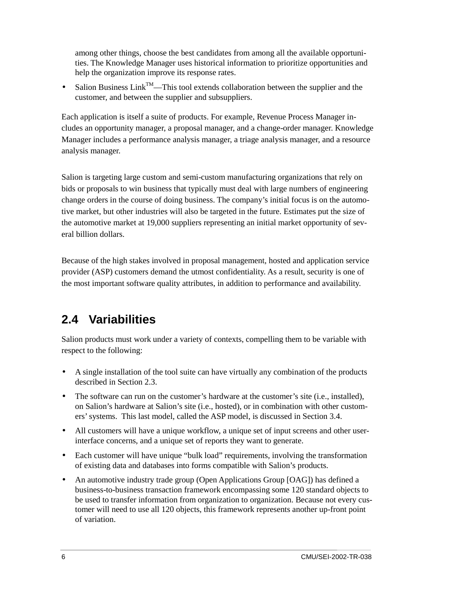among other things, choose the best candidates from among all the available opportunities. The Knowledge Manager uses historical information to prioritize opportunities and help the organization improve its response rates.

Salion Business Link<sup>TM</sup>—This tool extends collaboration between the supplier and the customer, and between the supplier and subsuppliers.

Each application is itself a suite of products. For example, Revenue Process Manager includes an opportunity manager, a proposal manager, and a change-order manager. Knowledge Manager includes a performance analysis manager, a triage analysis manager, and a resource analysis manager.

Salion is targeting large custom and semi-custom manufacturing organizations that rely on bids or proposals to win business that typically must deal with large numbers of engineering change orders in the course of doing business. The company's initial focus is on the automotive market, but other industries will also be targeted in the future. Estimates put the size of the automotive market at 19,000 suppliers representing an initial market opportunity of several billion dollars.

Because of the high stakes involved in proposal management, hosted and application service provider (ASP) customers demand the utmost confidentiality. As a result, security is one of the most important software quality attributes, in addition to performance and availability.

## **2.4 Variabilities**

Salion products must work under a variety of contexts, compelling them to be variable with respect to the following:

- A single installation of the tool suite can have virtually any combination of the products described in Section 2.3.
- The software can run on the customer's hardware at the customer's site (i.e., installed), on Salion's hardware at Salion's site (i.e., hosted), or in combination with other customers' systems. This last model, called the ASP model, is discussed in Section 3.4.
- All customers will have a unique workflow, a unique set of input screens and other userinterface concerns, and a unique set of reports they want to generate.
- Each customer will have unique "bulk load" requirements, involving the transformation of existing data and databases into forms compatible with Salion's products.
- An automotive industry trade group (Open Applications Group [OAG]) has defined a business-to-business transaction framework encompassing some 120 standard objects to be used to transfer information from organization to organization. Because not every customer will need to use all 120 objects, this framework represents another up-front point of variation.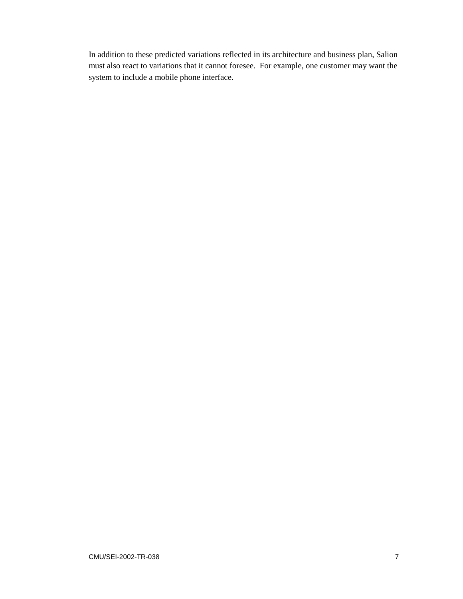In addition to these predicted variations reflected in its architecture and business plan, Salion must also react to variations that it cannot foresee. For example, one customer may want the system to include a mobile phone interface.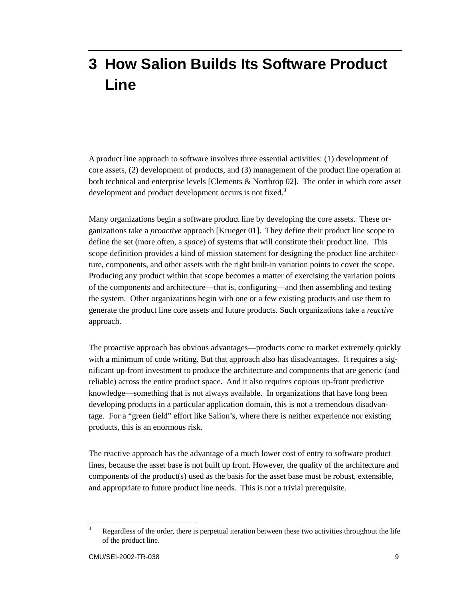# **3 How Salion Builds Its Software Product Line**

A product line approach to software involves three essential activities: (1) development of core assets, (2) development of products, and (3) management of the product line operation at both technical and enterprise levels [Clements & Northrop 02]. The order in which core asset development and product development occurs is not fixed.<sup>3</sup>

Many organizations begin a software product line by developing the core assets. These organizations take a *proactive* approach [Krueger 01]. They define their product line scope to define the set (more often, a *space*) of systems that will constitute their product line. This scope definition provides a kind of mission statement for designing the product line architecture, components, and other assets with the right built-in variation points to cover the scope. Producing any product within that scope becomes a matter of exercising the variation points of the components and architecture—that is, configuring—and then assembling and testing the system. Other organizations begin with one or a few existing products and use them to generate the product line core assets and future products. Such organizations take a *reactive* approach.

The proactive approach has obvious advantages—products come to market extremely quickly with a minimum of code writing. But that approach also has disadvantages. It requires a significant up-front investment to produce the architecture and components that are generic (and reliable) across the entire product space. And it also requires copious up-front predictive knowledge—something that is not always available. In organizations that have long been developing products in a particular application domain, this is not a tremendous disadvantage. For a "green field" effort like Salion's, where there is neither experience nor existing products, this is an enormous risk.

The reactive approach has the advantage of a much lower cost of entry to software product lines, because the asset base is not built up front. However, the quality of the architecture and components of the product(s) used as the basis for the asset base must be robust, extensible, and appropriate to future product line needs. This is not a trivial prerequisite.

<sup>3</sup> Regardless of the order, there is perpetual iteration between these two activities throughout the life of the product line.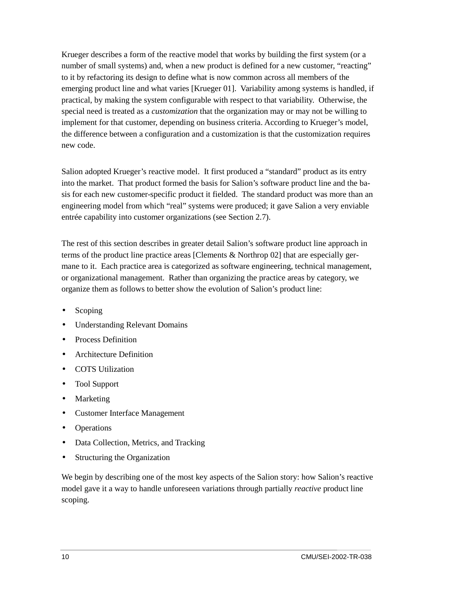Krueger describes a form of the reactive model that works by building the first system (or a number of small systems) and, when a new product is defined for a new customer, "reacting" to it by refactoring its design to define what is now common across all members of the emerging product line and what varies [Krueger 01]. Variability among systems is handled, if practical, by making the system configurable with respect to that variability. Otherwise, the special need is treated as a *customization* that the organization may or may not be willing to implement for that customer, depending on business criteria. According to Krueger's model, the difference between a configuration and a customization is that the customization requires new code.

Salion adopted Krueger's reactive model. It first produced a "standard" product as its entry into the market. That product formed the basis for Salion's software product line and the basis for each new customer-specific product it fielded. The standard product was more than an engineering model from which "real" systems were produced; it gave Salion a very enviable entrée capability into customer organizations (see Section 2.7).

The rest of this section describes in greater detail Salion's software product line approach in terms of the product line practice areas [Clements & Northrop 02] that are especially germane to it. Each practice area is categorized as software engineering, technical management, or organizational management. Rather than organizing the practice areas by category, we organize them as follows to better show the evolution of Salion's product line:

- Scoping
- Understanding Relevant Domains
- Process Definition
- Architecture Definition
- COTS Utilization
- Tool Support
- Marketing
- Customer Interface Management
- Operations
- Data Collection, Metrics, and Tracking
- Structuring the Organization

We begin by describing one of the most key aspects of the Salion story: how Salion's reactive model gave it a way to handle unforeseen variations through partially *reactive* product line scoping.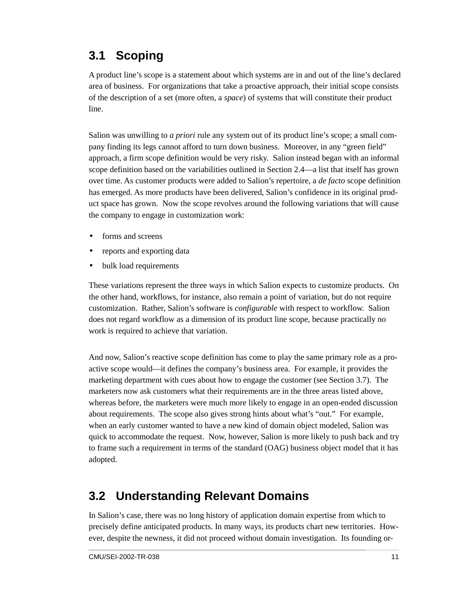## **3.1 Scoping**

A product line's scope is a statement about which systems are in and out of the line's declared area of business. For organizations that take a proactive approach, their initial scope consists of the description of a set (more often, a *space*) of systems that will constitute their product line.

Salion was unwilling to *a priori* rule any system out of its product line's scope; a small company finding its legs cannot afford to turn down business. Moreover, in any "green field" approach, a firm scope definition would be very risky. Salion instead began with an informal scope definition based on the variabilities outlined in Section 2.4—a list that itself has grown over time. As customer products were added to Salion's repertoire, a *de facto* scope definition has emerged. As more products have been delivered, Salion's confidence in its original product space has grown. Now the scope revolves around the following variations that will cause the company to engage in customization work:

- forms and screens
- reports and exporting data
- bulk load requirements

These variations represent the three ways in which Salion expects to customize products. On the other hand, workflows, for instance, also remain a point of variation, but do not require customization. Rather, Salion's software is *configurable* with respect to workflow. Salion does not regard workflow as a dimension of its product line scope, because practically no work is required to achieve that variation.

And now, Salion's reactive scope definition has come to play the same primary role as a proactive scope would—it defines the company's business area. For example, it provides the marketing department with cues about how to engage the customer (see Section 3.7). The marketers now ask customers what their requirements are in the three areas listed above, whereas before, the marketers were much more likely to engage in an open-ended discussion about requirements. The scope also gives strong hints about what's "out." For example, when an early customer wanted to have a new kind of domain object modeled, Salion was quick to accommodate the request. Now, however, Salion is more likely to push back and try to frame such a requirement in terms of the standard (OAG) business object model that it has adopted.

## **3.2 Understanding Relevant Domains**

In Salion's case, there was no long history of application domain expertise from which to precisely define anticipated products. In many ways, its products chart new territories. However, despite the newness, it did not proceed without domain investigation. Its founding or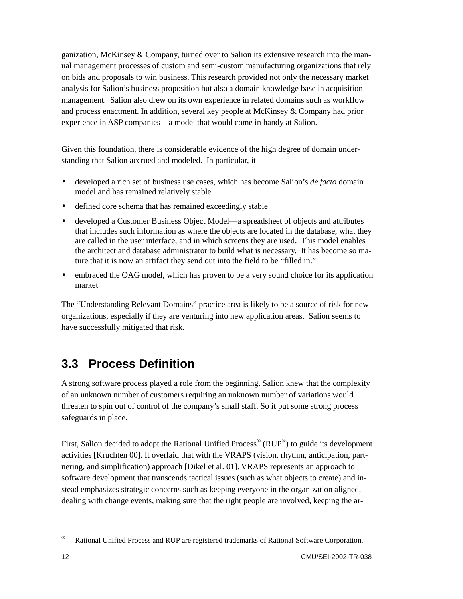ganization, McKinsey & Company, turned over to Salion its extensive research into the manual management processes of custom and semi-custom manufacturing organizations that rely on bids and proposals to win business. This research provided not only the necessary market analysis for Salion's business proposition but also a domain knowledge base in acquisition management. Salion also drew on its own experience in related domains such as workflow and process enactment. In addition, several key people at McKinsey & Company had prior experience in ASP companies—a model that would come in handy at Salion.

Given this foundation, there is considerable evidence of the high degree of domain understanding that Salion accrued and modeled. In particular, it

- developed a rich set of business use cases, which has become Salion's *de facto* domain model and has remained relatively stable
- defined core schema that has remained exceedingly stable
- developed a Customer Business Object Model—a spreadsheet of objects and attributes that includes such information as where the objects are located in the database, what they are called in the user interface, and in which screens they are used. This model enables the architect and database administrator to build what is necessary. It has become so mature that it is now an artifact they send out into the field to be "filled in."
- embraced the OAG model, which has proven to be a very sound choice for its application market

The "Understanding Relevant Domains" practice area is likely to be a source of risk for new organizations, especially if they are venturing into new application areas. Salion seems to have successfully mitigated that risk.

## **3.3 Process Definition**

A strong software process played a role from the beginning. Salion knew that the complexity of an unknown number of customers requiring an unknown number of variations would threaten to spin out of control of the company's small staff. So it put some strong process safeguards in place.

First, Salion decided to adopt the Rational Unified Process<sup>®</sup> (RUP<sup>®</sup>) to guide its development activities [Kruchten 00]. It overlaid that with the VRAPS (vision, rhythm, anticipation, partnering, and simplification) approach [Dikel et al. 01]. VRAPS represents an approach to software development that transcends tactical issues (such as what objects to create) and instead emphasizes strategic concerns such as keeping everyone in the organization aligned, dealing with change events, making sure that the right people are involved, keeping the ar-

 $\overline{a}$ ® Rational Unified Process and RUP are registered trademarks of Rational Software Corporation.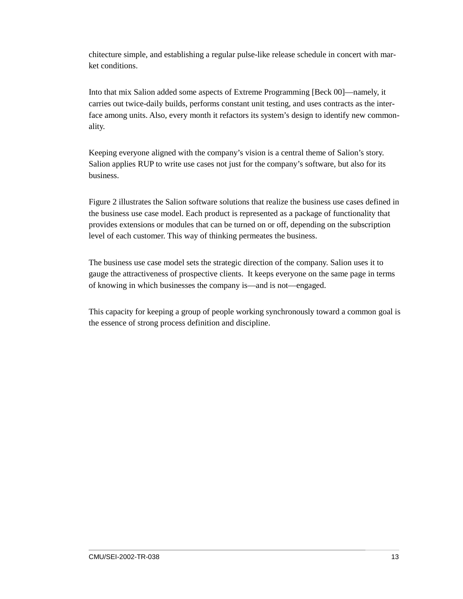chitecture simple, and establishing a regular pulse-like release schedule in concert with market conditions.

Into that mix Salion added some aspects of Extreme Programming [Beck 00]—namely, it carries out twice-daily builds, performs constant unit testing, and uses contracts as the interface among units. Also, every month it refactors its system's design to identify new commonality.

Keeping everyone aligned with the company's vision is a central theme of Salion's story. Salion applies RUP to write use cases not just for the company's software, but also for its business.

Figure 2 illustrates the Salion software solutions that realize the business use cases defined in the business use case model. Each product is represented as a package of functionality that provides extensions or modules that can be turned on or off, depending on the subscription level of each customer. This way of thinking permeates the business.

The business use case model sets the strategic direction of the company. Salion uses it to gauge the attractiveness of prospective clients. It keeps everyone on the same page in terms of knowing in which businesses the company is—and is not—engaged.

This capacity for keeping a group of people working synchronously toward a common goal is the essence of strong process definition and discipline.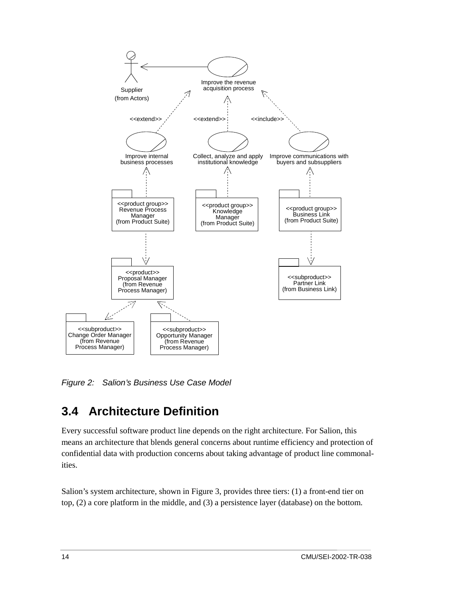

Figure 2: Salion's Business Use Case Model

#### **3.4 Architecture Definition**

Every successful software product line depends on the right architecture. For Salion, this means an architecture that blends general concerns about runtime efficiency and protection of confidential data with production concerns about taking advantage of product line commonalities.

Salion's system architecture, shown in Figure 3, provides three tiers: (1) a front-end tier on top, (2) a core platform in the middle, and (3) a persistence layer (database) on the bottom.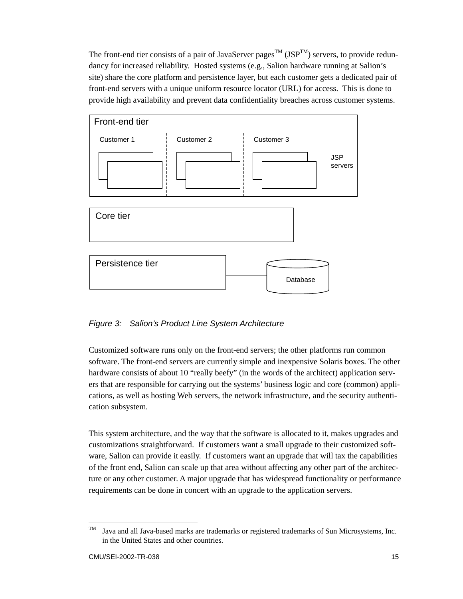The front-end tier consists of a pair of JavaServer pages<sup>TM</sup> (JSP<sup>TM</sup>) servers, to provide redundancy for increased reliability. Hosted systems (e.g., Salion hardware running at Salion's site) share the core platform and persistence layer, but each customer gets a dedicated pair of front-end servers with a unique uniform resource locator (URL) for access. This is done to provide high availability and prevent data confidentiality breaches across customer systems.



Figure 3: Salion's Product Line System Architecture

Customized software runs only on the front-end servers; the other platforms run common software. The front-end servers are currently simple and inexpensive Solaris boxes. The other hardware consists of about 10 "really beefy" (in the words of the architect) application servers that are responsible for carrying out the systems' business logic and core (common) applications, as well as hosting Web servers, the network infrastructure, and the security authentication subsystem.

This system architecture, and the way that the software is allocated to it, makes upgrades and customizations straightforward. If customers want a small upgrade to their customized software, Salion can provide it easily. If customers want an upgrade that will tax the capabilities of the front end, Salion can scale up that area without affecting any other part of the architecture or any other customer. A major upgrade that has widespread functionality or performance requirements can be done in concert with an upgrade to the application servers.

TM Java and all Java-based marks are trademarks or registered trademarks of Sun Microsystems, Inc. in the United States and other countries.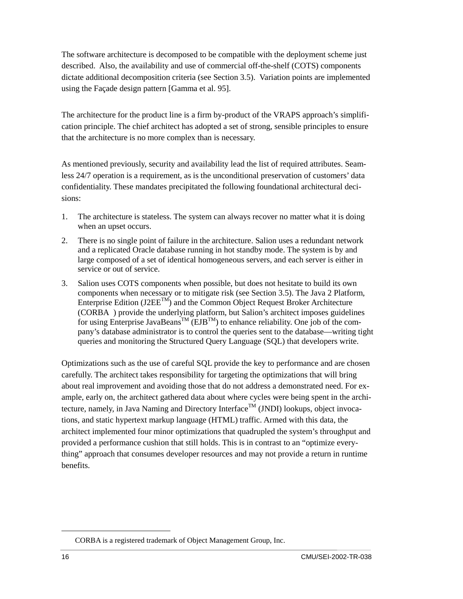The software architecture is decomposed to be compatible with the deployment scheme just described. Also, the availability and use of commercial off-the-shelf (COTS) components dictate additional decomposition criteria (see Section 3.5). Variation points are implemented using the Façade design pattern [Gamma et al. 95].

The architecture for the product line is a firm by-product of the VRAPS approach's simplification principle. The chief architect has adopted a set of strong, sensible principles to ensure that the architecture is no more complex than is necessary.

As mentioned previously, security and availability lead the list of required attributes. Seamless 24/7 operation is a requirement, as is the unconditional preservation of customers' data confidentiality. These mandates precipitated the following foundational architectural decisions:

- 1. The architecture is stateless. The system can always recover no matter what it is doing when an upset occurs.
- 2. There is no single point of failure in the architecture. Salion uses a redundant network and a replicated Oracle database running in hot standby mode. The system is by and large composed of a set of identical homogeneous servers, and each server is either in service or out of service.
- 3. Salion uses COTS components when possible, but does not hesitate to build its own components when necessary or to mitigate risk (see Section 3.5). The Java 2 Platform, Enterprise Edition (J2EETM) and the Common Object Request Broker Architecture  $(CORBA^{\circledast})$  provide the underlying platform, but Salion's architect imposes guidelines for using Enterprise JavaBeans<sup>TM</sup> (EJB<sup>TM</sup>) to enhance reliability. One job of the company's database administrator is to control the queries sent to the database—writing tight queries and monitoring the Structured Query Language (SQL) that developers write.

Optimizations such as the use of careful SQL provide the key to performance and are chosen carefully. The architect takes responsibility for targeting the optimizations that will bring about real improvement and avoiding those that do not address a demonstrated need. For example, early on, the architect gathered data about where cycles were being spent in the architecture, namely, in Java Naming and Directory Interface<sup>TM</sup> (JNDI) lookups, object invocations, and static hypertext markup language (HTML) traffic. Armed with this data, the architect implemented four minor optimizations that quadrupled the system's throughput and provided a performance cushion that still holds. This is in contrast to an "optimize everything" approach that consumes developer resources and may not provide a return in runtime benefits.

 $^{\circ\circ}$  CORBA is a registered trademark of Object Management Group, Inc.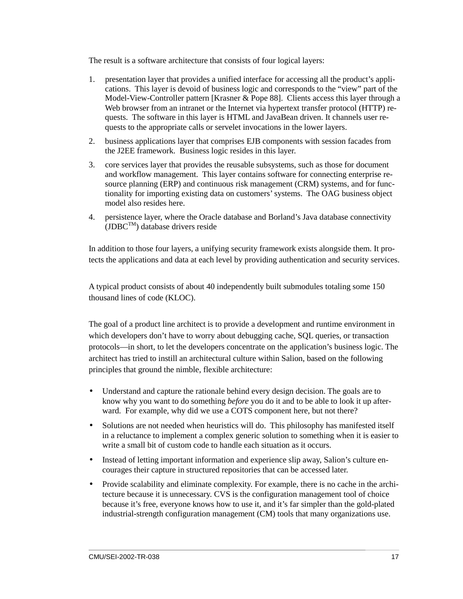The result is a software architecture that consists of four logical layers:

- 1. presentation layer that provides a unified interface for accessing all the product's applications. This layer is devoid of business logic and corresponds to the "view" part of the Model-View-Controller pattern [Krasner & Pope 88]. Clients access this layer through a Web browser from an intranet or the Internet via hypertext transfer protocol (HTTP) requests. The software in this layer is HTML and JavaBean driven. It channels user requests to the appropriate calls or servelet invocations in the lower layers.
- 2. business applications layer that comprises EJB components with session facades from the J2EE framework. Business logic resides in this layer.
- 3. core services layer that provides the reusable subsystems, such as those for document and workflow management. This layer contains software for connecting enterprise resource planning (ERP) and continuous risk management (CRM) systems, and for functionality for importing existing data on customers' systems. The OAG business object model also resides here.
- 4. persistence layer, where the Oracle database and Borland's Java database connectivity  $(JDBC^{TM})$  database drivers reside

In addition to those four layers, a unifying security framework exists alongside them. It protects the applications and data at each level by providing authentication and security services.

A typical product consists of about 40 independently built submodules totaling some 150 thousand lines of code (KLOC).

The goal of a product line architect is to provide a development and runtime environment in which developers don't have to worry about debugging cache, SQL queries, or transaction protocols—in short, to let the developers concentrate on the application's business logic. The architect has tried to instill an architectural culture within Salion, based on the following principles that ground the nimble, flexible architecture:

- Understand and capture the rationale behind every design decision. The goals are to know why you want to do something *before* you do it and to be able to look it up afterward. For example, why did we use a COTS component here, but not there?
- Solutions are not needed when heuristics will do. This philosophy has manifested itself in a reluctance to implement a complex generic solution to something when it is easier to write a small bit of custom code to handle each situation as it occurs.
- Instead of letting important information and experience slip away, Salion's culture encourages their capture in structured repositories that can be accessed later.
- Provide scalability and eliminate complexity. For example, there is no cache in the architecture because it is unnecessary. CVS is the configuration management tool of choice because it's free, everyone knows how to use it, and it's far simpler than the gold-plated industrial-strength configuration management (CM) tools that many organizations use.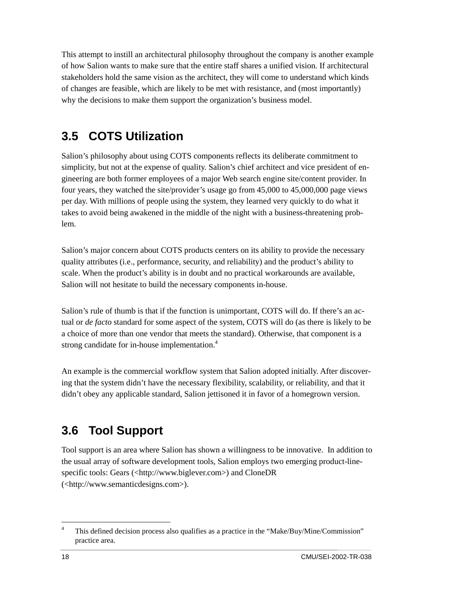This attempt to instill an architectural philosophy throughout the company is another example of how Salion wants to make sure that the entire staff shares a unified vision. If architectural stakeholders hold the same vision as the architect, they will come to understand which kinds of changes are feasible, which are likely to be met with resistance, and (most importantly) why the decisions to make them support the organization's business model.

### **3.5 COTS Utilization**

Salion's philosophy about using COTS components reflects its deliberate commitment to simplicity, but not at the expense of quality. Salion's chief architect and vice president of engineering are both former employees of a major Web search engine site/content provider. In four years, they watched the site/provider's usage go from 45,000 to 45,000,000 page views per day. With millions of people using the system, they learned very quickly to do what it takes to avoid being awakened in the middle of the night with a business-threatening problem.

Salion's major concern about COTS products centers on its ability to provide the necessary quality attributes (i.e., performance, security, and reliability) and the product's ability to scale. When the product's ability is in doubt and no practical workarounds are available, Salion will not hesitate to build the necessary components in-house.

Salion's rule of thumb is that if the function is unimportant, COTS will do. If there's an actual or *de facto* standard for some aspect of the system, COTS will do (as there is likely to be a choice of more than one vendor that meets the standard). Otherwise, that component is a strong candidate for in-house implementation.<sup>4</sup>

An example is the commercial workflow system that Salion adopted initially. After discovering that the system didn't have the necessary flexibility, scalability, or reliability, and that it didn't obey any applicable standard, Salion jettisoned it in favor of a homegrown version.

## **3.6 Tool Support**

Tool support is an area where Salion has shown a willingness to be innovative. In addition to the usual array of software development tools, Salion employs two emerging product-linespecific tools: Gears (<http://www.biglever.com>) and CloneDR (<http://www.semanticdesigns.com>).

<sup>4</sup> This defined decision process also qualifies as a practice in the "Make/Buy/Mine/Commission" practice area.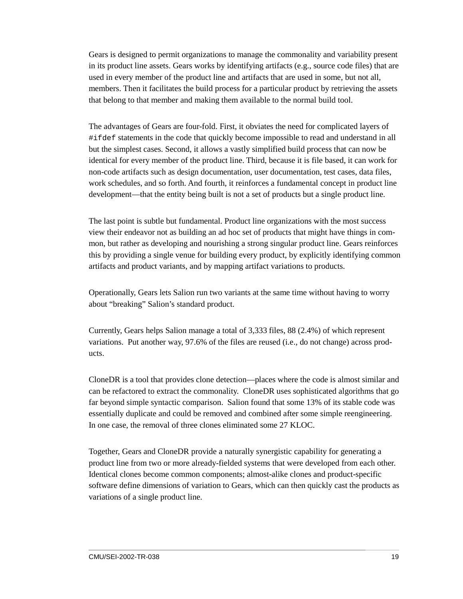Gears is designed to permit organizations to manage the commonality and variability present in its product line assets. Gears works by identifying artifacts (e.g., source code files) that are used in every member of the product line and artifacts that are used in some, but not all, members. Then it facilitates the build process for a particular product by retrieving the assets that belong to that member and making them available to the normal build tool.

The advantages of Gears are four-fold. First, it obviates the need for complicated layers of #ifdef statements in the code that quickly become impossible to read and understand in all but the simplest cases. Second, it allows a vastly simplified build process that can now be identical for every member of the product line. Third, because it is file based, it can work for non-code artifacts such as design documentation, user documentation, test cases, data files, work schedules, and so forth. And fourth, it reinforces a fundamental concept in product line development—that the entity being built is not a set of products but a single product line.

The last point is subtle but fundamental. Product line organizations with the most success view their endeavor not as building an ad hoc set of products that might have things in common, but rather as developing and nourishing a strong singular product line. Gears reinforces this by providing a single venue for building every product, by explicitly identifying common artifacts and product variants, and by mapping artifact variations to products.

Operationally, Gears lets Salion run two variants at the same time without having to worry about "breaking" Salion's standard product.

Currently, Gears helps Salion manage a total of 3,333 files, 88 (2.4%) of which represent variations. Put another way, 97.6% of the files are reused (i.e., do not change) across products.

CloneDR is a tool that provides clone detection—places where the code is almost similar and can be refactored to extract the commonality. CloneDR uses sophisticated algorithms that go far beyond simple syntactic comparison. Salion found that some 13% of its stable code was essentially duplicate and could be removed and combined after some simple reengineering. In one case, the removal of three clones eliminated some 27 KLOC.

Together, Gears and CloneDR provide a naturally synergistic capability for generating a product line from two or more already-fielded systems that were developed from each other. Identical clones become common components; almost-alike clones and product-specific software define dimensions of variation to Gears, which can then quickly cast the products as variations of a single product line.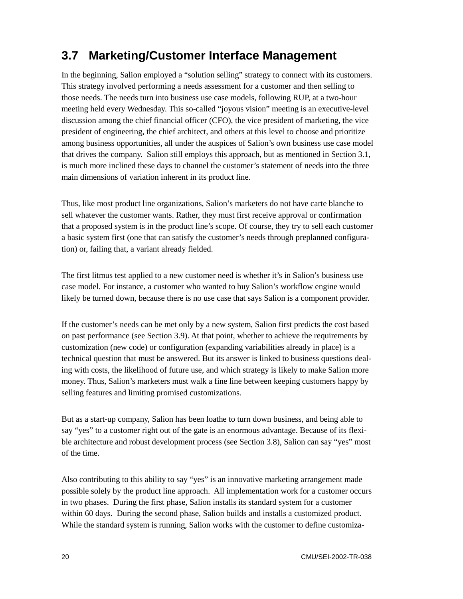### **3.7 Marketing/Customer Interface Management**

In the beginning, Salion employed a "solution selling" strategy to connect with its customers. This strategy involved performing a needs assessment for a customer and then selling to those needs. The needs turn into business use case models, following RUP, at a two-hour meeting held every Wednesday. This so-called "joyous vision" meeting is an executive-level discussion among the chief financial officer (CFO), the vice president of marketing, the vice president of engineering, the chief architect, and others at this level to choose and prioritize among business opportunities, all under the auspices of Salion's own business use case model that drives the company. Salion still employs this approach, but as mentioned in Section 3.1, is much more inclined these days to channel the customer's statement of needs into the three main dimensions of variation inherent in its product line.

Thus, like most product line organizations, Salion's marketers do not have carte blanche to sell whatever the customer wants. Rather, they must first receive approval or confirmation that a proposed system is in the product line's scope. Of course, they try to sell each customer a basic system first (one that can satisfy the customer's needs through preplanned configuration) or, failing that, a variant already fielded.

The first litmus test applied to a new customer need is whether it's in Salion's business use case model. For instance, a customer who wanted to buy Salion's workflow engine would likely be turned down, because there is no use case that says Salion is a component provider.

If the customer's needs can be met only by a new system, Salion first predicts the cost based on past performance (see Section 3.9). At that point, whether to achieve the requirements by customization (new code) or configuration (expanding variabilities already in place) is a technical question that must be answered. But its answer is linked to business questions dealing with costs, the likelihood of future use, and which strategy is likely to make Salion more money. Thus, Salion's marketers must walk a fine line between keeping customers happy by selling features and limiting promised customizations.

But as a start-up company, Salion has been loathe to turn down business, and being able to say "yes" to a customer right out of the gate is an enormous advantage. Because of its flexible architecture and robust development process (see Section 3.8), Salion can say "yes" most of the time.

Also contributing to this ability to say "yes" is an innovative marketing arrangement made possible solely by the product line approach. All implementation work for a customer occurs in two phases. During the first phase, Salion installs its standard system for a customer within 60 days. During the second phase, Salion builds and installs a customized product. While the standard system is running, Salion works with the customer to define customiza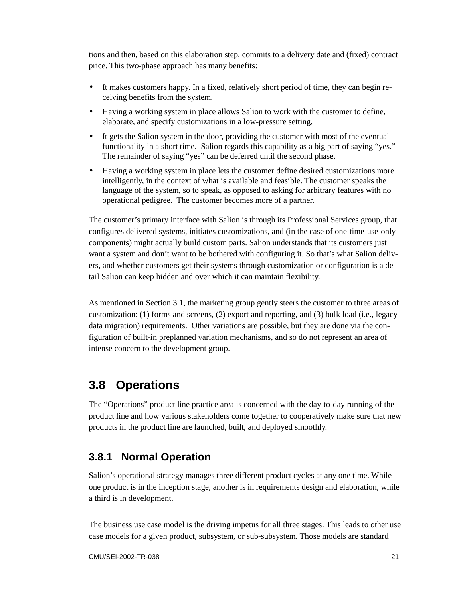tions and then, based on this elaboration step, commits to a delivery date and (fixed) contract price. This two-phase approach has many benefits:

- It makes customers happy. In a fixed, relatively short period of time, they can begin receiving benefits from the system.
- Having a working system in place allows Salion to work with the customer to define, elaborate, and specify customizations in a low-pressure setting.
- It gets the Salion system in the door, providing the customer with most of the eventual functionality in a short time. Salion regards this capability as a big part of saying "yes." The remainder of saying "yes" can be deferred until the second phase.
- Having a working system in place lets the customer define desired customizations more intelligently, in the context of what is available and feasible. The customer speaks the language of the system, so to speak, as opposed to asking for arbitrary features with no operational pedigree. The customer becomes more of a partner.

The customer's primary interface with Salion is through its Professional Services group, that configures delivered systems, initiates customizations, and (in the case of one-time-use-only components) might actually build custom parts. Salion understands that its customers just want a system and don't want to be bothered with configuring it. So that's what Salion delivers, and whether customers get their systems through customization or configuration is a detail Salion can keep hidden and over which it can maintain flexibility.

As mentioned in Section 3.1, the marketing group gently steers the customer to three areas of customization: (1) forms and screens, (2) export and reporting, and (3) bulk load (i.e., legacy data migration) requirements. Other variations are possible, but they are done via the configuration of built-in preplanned variation mechanisms, and so do not represent an area of intense concern to the development group.

#### **3.8 Operations**

The "Operations" product line practice area is concerned with the day-to-day running of the product line and how various stakeholders come together to cooperatively make sure that new products in the product line are launched, built, and deployed smoothly.

#### **3.8.1 Normal Operation**

Salion's operational strategy manages three different product cycles at any one time. While one product is in the inception stage, another is in requirements design and elaboration, while a third is in development.

The business use case model is the driving impetus for all three stages. This leads to other use case models for a given product, subsystem, or sub-subsystem. Those models are standard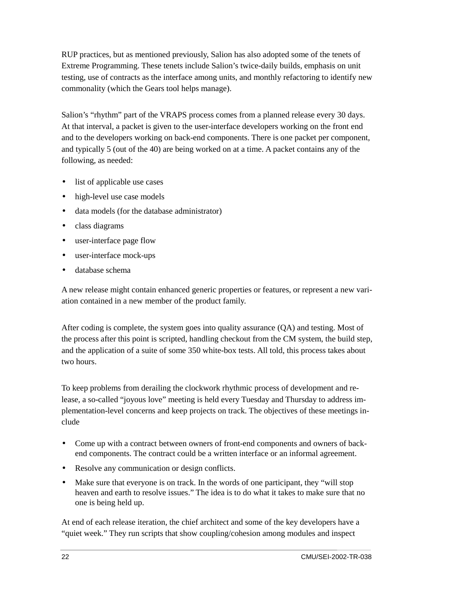RUP practices, but as mentioned previously, Salion has also adopted some of the tenets of Extreme Programming. These tenets include Salion's twice-daily builds, emphasis on unit testing, use of contracts as the interface among units, and monthly refactoring to identify new commonality (which the Gears tool helps manage).

Salion's "rhythm" part of the VRAPS process comes from a planned release every 30 days. At that interval, a packet is given to the user-interface developers working on the front end and to the developers working on back-end components. There is one packet per component, and typically 5 (out of the 40) are being worked on at a time. A packet contains any of the following, as needed:

- list of applicable use cases
- high-level use case models
- data models (for the database administrator)
- class diagrams
- user-interface page flow
- user-interface mock-ups
- database schema

A new release might contain enhanced generic properties or features, or represent a new variation contained in a new member of the product family.

After coding is complete, the system goes into quality assurance (QA) and testing. Most of the process after this point is scripted, handling checkout from the CM system, the build step, and the application of a suite of some 350 white-box tests. All told, this process takes about two hours.

To keep problems from derailing the clockwork rhythmic process of development and release, a so-called "joyous love" meeting is held every Tuesday and Thursday to address implementation-level concerns and keep projects on track. The objectives of these meetings include

- Come up with a contract between owners of front-end components and owners of backend components. The contract could be a written interface or an informal agreement.
- Resolve any communication or design conflicts.
- Make sure that everyone is on track. In the words of one participant, they "will stop heaven and earth to resolve issues." The idea is to do what it takes to make sure that no one is being held up.

At end of each release iteration, the chief architect and some of the key developers have a "quiet week." They run scripts that show coupling/cohesion among modules and inspect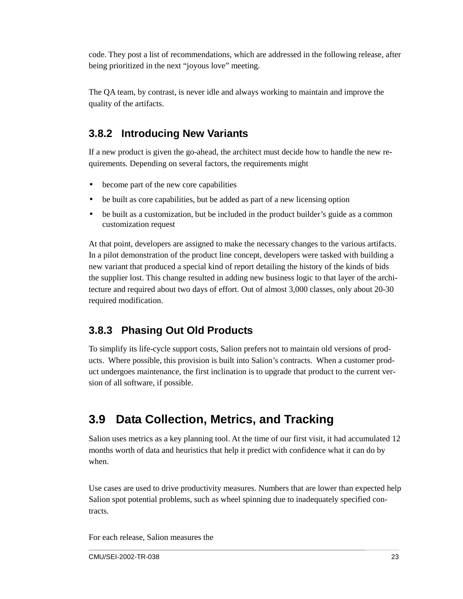code. They post a list of recommendations, which are addressed in the following release, after being prioritized in the next "joyous love" meeting.

The QA team, by contrast, is never idle and always working to maintain and improve the quality of the artifacts.

#### **3.8.2 Introducing New Variants**

If a new product is given the go-ahead, the architect must decide how to handle the new requirements. Depending on several factors, the requirements might

- become part of the new core capabilities
- be built as core capabilities, but be added as part of a new licensing option
- be built as a customization, but be included in the product builder's guide as a common customization request

At that point, developers are assigned to make the necessary changes to the various artifacts. In a pilot demonstration of the product line concept, developers were tasked with building a new variant that produced a special kind of report detailing the history of the kinds of bids the supplier lost. This change resulted in adding new business logic to that layer of the architecture and required about two days of effort. Out of almost 3,000 classes, only about 20-30 required modification.

#### **3.8.3 Phasing Out Old Products**

To simplify its life-cycle support costs, Salion prefers not to maintain old versions of products. Where possible, this provision is built into Salion's contracts. When a customer product undergoes maintenance, the first inclination is to upgrade that product to the current version of all software, if possible.

## **3.9 Data Collection, Metrics, and Tracking**

Salion uses metrics as a key planning tool. At the time of our first visit, it had accumulated 12 months worth of data and heuristics that help it predict with confidence what it can do by when.

Use cases are used to drive productivity measures. Numbers that are lower than expected help Salion spot potential problems, such as wheel spinning due to inadequately specified contracts.

For each release, Salion measures the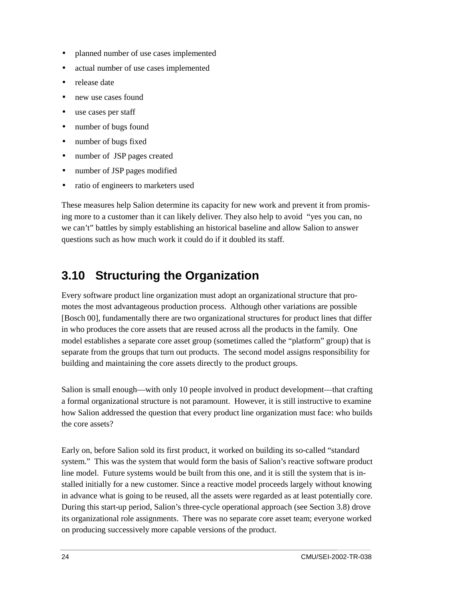- planned number of use cases implemented
- actual number of use cases implemented
- release date
- new use cases found
- use cases per staff
- number of bugs found
- number of bugs fixed
- number of JSP pages created
- number of JSP pages modified
- ratio of engineers to marketers used

These measures help Salion determine its capacity for new work and prevent it from promising more to a customer than it can likely deliver. They also help to avoid "yes you can, no we can't" battles by simply establishing an historical baseline and allow Salion to answer questions such as how much work it could do if it doubled its staff.

#### **3.10 Structuring the Organization**

Every software product line organization must adopt an organizational structure that promotes the most advantageous production process. Although other variations are possible [Bosch 00], fundamentally there are two organizational structures for product lines that differ in who produces the core assets that are reused across all the products in the family. One model establishes a separate core asset group (sometimes called the "platform" group) that is separate from the groups that turn out products. The second model assigns responsibility for building and maintaining the core assets directly to the product groups.

Salion is small enough—with only 10 people involved in product development—that crafting a formal organizational structure is not paramount. However, it is still instructive to examine how Salion addressed the question that every product line organization must face: who builds the core assets?

Early on, before Salion sold its first product, it worked on building its so-called "standard system." This was the system that would form the basis of Salion's reactive software product line model. Future systems would be built from this one, and it is still the system that is installed initially for a new customer. Since a reactive model proceeds largely without knowing in advance what is going to be reused, all the assets were regarded as at least potentially core. During this start-up period, Salion's three-cycle operational approach (see Section 3.8) drove its organizational role assignments. There was no separate core asset team; everyone worked on producing successively more capable versions of the product.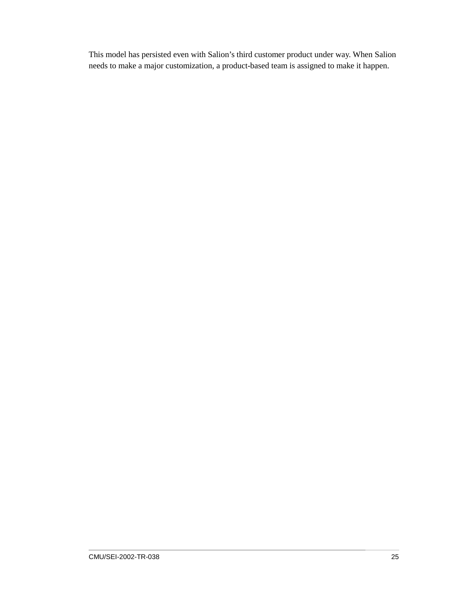This model has persisted even with Salion's third customer product under way. When Salion needs to make a major customization, a product-based team is assigned to make it happen.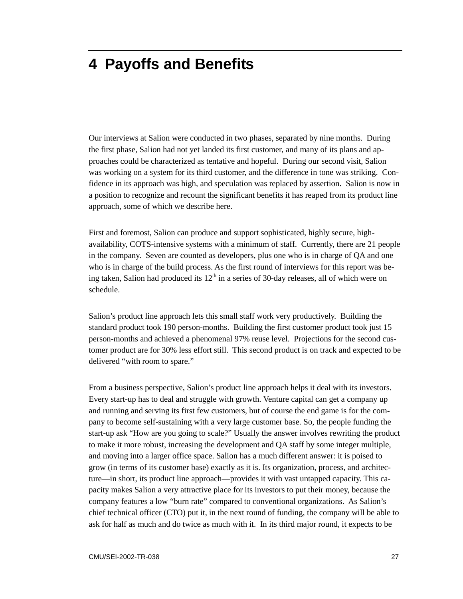# **4 Payoffs and Benefits**

Our interviews at Salion were conducted in two phases, separated by nine months. During the first phase, Salion had not yet landed its first customer, and many of its plans and approaches could be characterized as tentative and hopeful. During our second visit, Salion was working on a system for its third customer, and the difference in tone was striking. Confidence in its approach was high, and speculation was replaced by assertion. Salion is now in a position to recognize and recount the significant benefits it has reaped from its product line approach, some of which we describe here.

First and foremost, Salion can produce and support sophisticated, highly secure, highavailability, COTS-intensive systems with a minimum of staff. Currently, there are 21 people in the company. Seven are counted as developers, plus one who is in charge of QA and one who is in charge of the build process. As the first round of interviews for this report was being taken, Salion had produced its  $12<sup>th</sup>$  in a series of 30-day releases, all of which were on schedule.

Salion's product line approach lets this small staff work very productively. Building the standard product took 190 person-months. Building the first customer product took just 15 person-months and achieved a phenomenal 97% reuse level. Projections for the second customer product are for 30% less effort still. This second product is on track and expected to be delivered "with room to spare."

From a business perspective, Salion's product line approach helps it deal with its investors. Every start-up has to deal and struggle with growth. Venture capital can get a company up and running and serving its first few customers, but of course the end game is for the company to become self-sustaining with a very large customer base. So, the people funding the start-up ask "How are you going to scale?" Usually the answer involves rewriting the product to make it more robust, increasing the development and QA staff by some integer multiple, and moving into a larger office space. Salion has a much different answer: it is poised to grow (in terms of its customer base) exactly as it is. Its organization, process, and architecture—in short, its product line approach—provides it with vast untapped capacity. This capacity makes Salion a very attractive place for its investors to put their money, because the company features a low "burn rate" compared to conventional organizations. As Salion's chief technical officer (CTO) put it, in the next round of funding, the company will be able to ask for half as much and do twice as much with it. In its third major round, it expects to be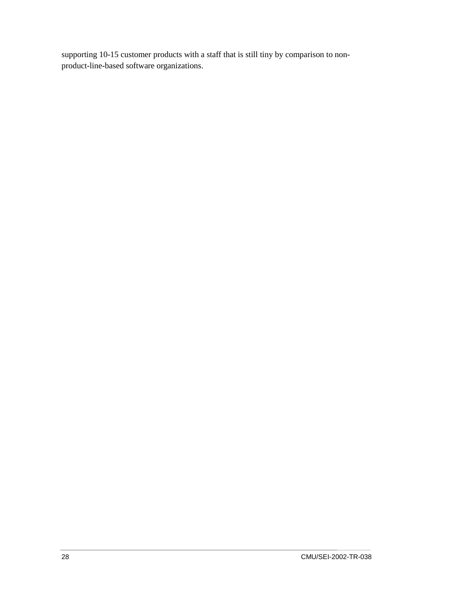supporting 10-15 customer products with a staff that is still tiny by comparison to nonproduct-line-based software organizations.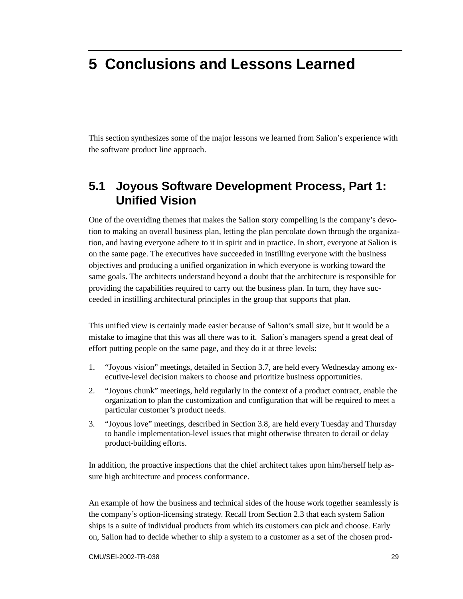# **5 Conclusions and Lessons Learned**

This section synthesizes some of the major lessons we learned from Salion's experience with the software product line approach.

#### **5.1 Joyous Software Development Process, Part 1: Unified Vision**

One of the overriding themes that makes the Salion story compelling is the company's devotion to making an overall business plan, letting the plan percolate down through the organization, and having everyone adhere to it in spirit and in practice. In short, everyone at Salion is on the same page. The executives have succeeded in instilling everyone with the business objectives and producing a unified organization in which everyone is working toward the same goals. The architects understand beyond a doubt that the architecture is responsible for providing the capabilities required to carry out the business plan. In turn, they have succeeded in instilling architectural principles in the group that supports that plan.

This unified view is certainly made easier because of Salion's small size, but it would be a mistake to imagine that this was all there was to it. Salion's managers spend a great deal of effort putting people on the same page, and they do it at three levels:

- 1. "Joyous vision" meetings, detailed in Section 3.7, are held every Wednesday among executive-level decision makers to choose and prioritize business opportunities.
- 2. "Joyous chunk" meetings, held regularly in the context of a product contract, enable the organization to plan the customization and configuration that will be required to meet a particular customer's product needs.
- 3. "Joyous love" meetings, described in Section 3.8, are held every Tuesday and Thursday to handle implementation-level issues that might otherwise threaten to derail or delay product-building efforts.

In addition, the proactive inspections that the chief architect takes upon him/herself help assure high architecture and process conformance.

An example of how the business and technical sides of the house work together seamlessly is the company's option-licensing strategy. Recall from Section 2.3 that each system Salion ships is a suite of individual products from which its customers can pick and choose. Early on, Salion had to decide whether to ship a system to a customer as a set of the chosen prod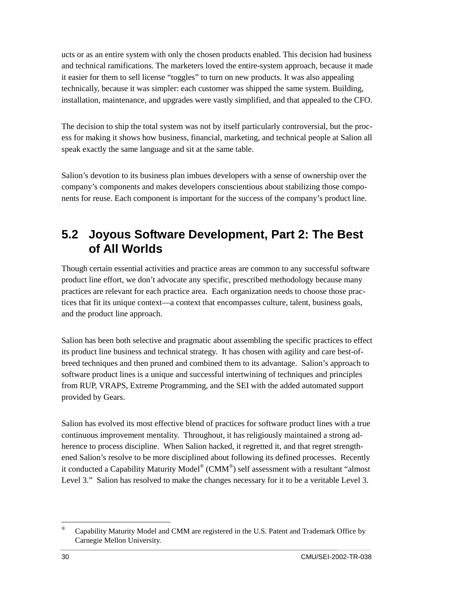ucts or as an entire system with only the chosen products enabled. This decision had business and technical ramifications. The marketers loved the entire-system approach, because it made it easier for them to sell license "toggles" to turn on new products. It was also appealing technically, because it was simpler: each customer was shipped the same system. Building, installation, maintenance, and upgrades were vastly simplified, and that appealed to the CFO.

The decision to ship the total system was not by itself particularly controversial, but the process for making it shows how business, financial, marketing, and technical people at Salion all speak exactly the same language and sit at the same table.

Salion's devotion to its business plan imbues developers with a sense of ownership over the company's components and makes developers conscientious about stabilizing those components for reuse. Each component is important for the success of the company's product line.

#### **5.2 Joyous Software Development, Part 2: The Best of All Worlds**

Though certain essential activities and practice areas are common to any successful software product line effort, we don't advocate any specific, prescribed methodology because many practices are relevant for each practice area. Each organization needs to choose those practices that fit its unique context—a context that encompasses culture, talent, business goals, and the product line approach.

Salion has been both selective and pragmatic about assembling the specific practices to effect its product line business and technical strategy. It has chosen with agility and care best-ofbreed techniques and then pruned and combined them to its advantage. Salion's approach to software product lines is a unique and successful intertwining of techniques and principles from RUP, VRAPS, Extreme Programming, and the SEI with the added automated support provided by Gears.

Salion has evolved its most effective blend of practices for software product lines with a true continuous improvement mentality. Throughout, it has religiously maintained a strong adherence to process discipline. When Salion hacked, it regretted it, and that regret strengthened Salion's resolve to be more disciplined about following its defined processes. Recently it conducted a Capability Maturity Model® (CMM®) self assessment with a resultant "almost Level 3." Salion has resolved to make the changes necessary for it to be a veritable Level 3.

<sup>®</sup> Capability Maturity Model and CMM are registered in the U.S. Patent and Trademark Office by Carnegie Mellon University.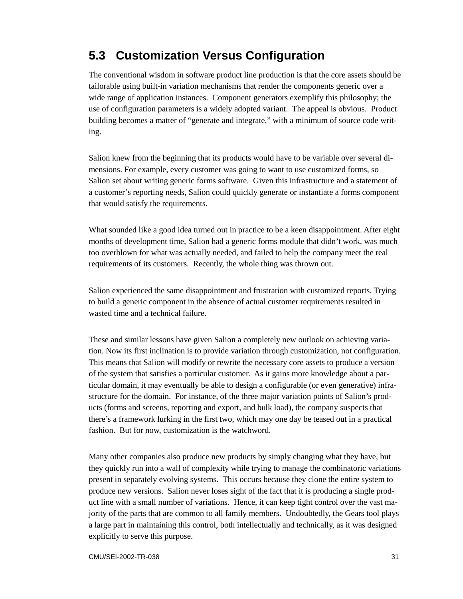## **5.3 Customization Versus Configuration**

The conventional wisdom in software product line production is that the core assets should be tailorable using built-in variation mechanisms that render the components generic over a wide range of application instances. Component generators exemplify this philosophy; the use of configuration parameters is a widely adopted variant. The appeal is obvious. Product building becomes a matter of "generate and integrate," with a minimum of source code writing.

Salion knew from the beginning that its products would have to be variable over several dimensions. For example, every customer was going to want to use customized forms, so Salion set about writing generic forms software. Given this infrastructure and a statement of a customer's reporting needs, Salion could quickly generate or instantiate a forms component that would satisfy the requirements.

What sounded like a good idea turned out in practice to be a keen disappointment. After eight months of development time, Salion had a generic forms module that didn't work, was much too overblown for what was actually needed, and failed to help the company meet the real requirements of its customers. Recently, the whole thing was thrown out.

Salion experienced the same disappointment and frustration with customized reports. Trying to build a generic component in the absence of actual customer requirements resulted in wasted time and a technical failure.

These and similar lessons have given Salion a completely new outlook on achieving variation. Now its first inclination is to provide variation through customization, not configuration. This means that Salion will modify or rewrite the necessary core assets to produce a version of the system that satisfies a particular customer. As it gains more knowledge about a particular domain, it may eventually be able to design a configurable (or even generative) infrastructure for the domain. For instance, of the three major variation points of Salion's products (forms and screens, reporting and export, and bulk load), the company suspects that there's a framework lurking in the first two, which may one day be teased out in a practical fashion. But for now, customization is the watchword.

Many other companies also produce new products by simply changing what they have, but they quickly run into a wall of complexity while trying to manage the combinatoric variations present in separately evolving systems. This occurs because they clone the entire system to produce new versions. Salion never loses sight of the fact that it is producing a single product line with a small number of variations. Hence, it can keep tight control over the vast majority of the parts that are common to all family members. Undoubtedly, the Gears tool plays a large part in maintaining this control, both intellectually and technically, as it was designed explicitly to serve this purpose.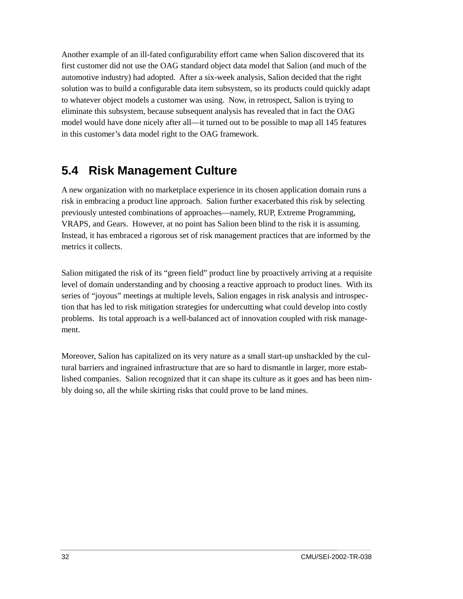Another example of an ill-fated configurability effort came when Salion discovered that its first customer did not use the OAG standard object data model that Salion (and much of the automotive industry) had adopted. After a six-week analysis, Salion decided that the right solution was to build a configurable data item subsystem, so its products could quickly adapt to whatever object models a customer was using. Now, in retrospect, Salion is trying to eliminate this subsystem, because subsequent analysis has revealed that in fact the OAG model would have done nicely after all—it turned out to be possible to map all 145 features in this customer's data model right to the OAG framework.

#### **5.4 Risk Management Culture**

A new organization with no marketplace experience in its chosen application domain runs a risk in embracing a product line approach. Salion further exacerbated this risk by selecting previously untested combinations of approaches—namely, RUP, Extreme Programming, VRAPS, and Gears. However, at no point has Salion been blind to the risk it is assuming. Instead, it has embraced a rigorous set of risk management practices that are informed by the metrics it collects.

Salion mitigated the risk of its "green field" product line by proactively arriving at a requisite level of domain understanding and by choosing a reactive approach to product lines. With its series of "joyous" meetings at multiple levels, Salion engages in risk analysis and introspection that has led to risk mitigation strategies for undercutting what could develop into costly problems. Its total approach is a well-balanced act of innovation coupled with risk management.

Moreover, Salion has capitalized on its very nature as a small start-up unshackled by the cultural barriers and ingrained infrastructure that are so hard to dismantle in larger, more established companies. Salion recognized that it can shape its culture as it goes and has been nimbly doing so, all the while skirting risks that could prove to be land mines.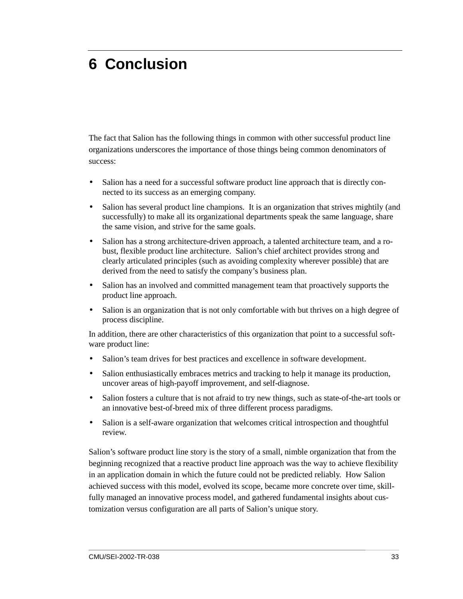# **6 Conclusion**

The fact that Salion has the following things in common with other successful product line organizations underscores the importance of those things being common denominators of success:

- Salion has a need for a successful software product line approach that is directly connected to its success as an emerging company.
- Salion has several product line champions. It is an organization that strives mightily (and successfully) to make all its organizational departments speak the same language, share the same vision, and strive for the same goals.
- Salion has a strong architecture-driven approach, a talented architecture team, and a robust, flexible product line architecture. Salion's chief architect provides strong and clearly articulated principles (such as avoiding complexity wherever possible) that are derived from the need to satisfy the company's business plan.
- Salion has an involved and committed management team that proactively supports the product line approach.
- Salion is an organization that is not only comfortable with but thrives on a high degree of process discipline.

In addition, there are other characteristics of this organization that point to a successful software product line:

- Salion's team drives for best practices and excellence in software development.
- Salion enthusiastically embraces metrics and tracking to help it manage its production, uncover areas of high-payoff improvement, and self-diagnose.
- Salion fosters a culture that is not afraid to try new things, such as state-of-the-art tools or an innovative best-of-breed mix of three different process paradigms.
- Salion is a self-aware organization that welcomes critical introspection and thoughtful review.

Salion's software product line story is the story of a small, nimble organization that from the beginning recognized that a reactive product line approach was the way to achieve flexibility in an application domain in which the future could not be predicted reliably. How Salion achieved success with this model, evolved its scope, became more concrete over time, skillfully managed an innovative process model, and gathered fundamental insights about customization versus configuration are all parts of Salion's unique story.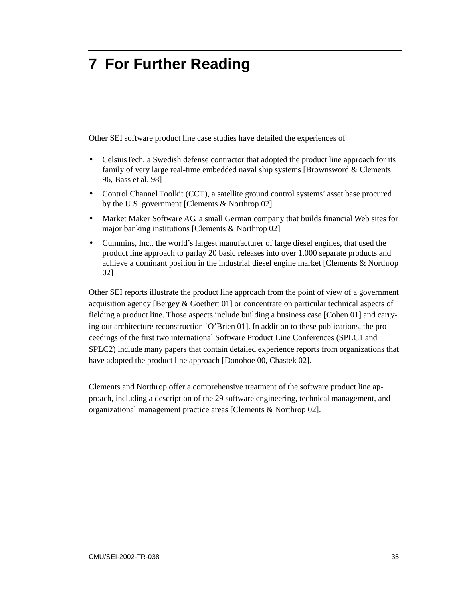# **7 For Further Reading**

Other SEI software product line case studies have detailed the experiences of

- CelsiusTech, a Swedish defense contractor that adopted the product line approach for its family of very large real-time embedded naval ship systems [Brownsword & Clements 96, Bass et al. 98]
- Control Channel Toolkit (CCT), a satellite ground control systems' asset base procured by the U.S. government [Clements & Northrop 02]
- Market Maker Software AG, a small German company that builds financial Web sites for major banking institutions [Clements & Northrop 02]
- Cummins, Inc., the world's largest manufacturer of large diesel engines, that used the product line approach to parlay 20 basic releases into over 1,000 separate products and achieve a dominant position in the industrial diesel engine market [Clements & Northrop 02]

Other SEI reports illustrate the product line approach from the point of view of a government acquisition agency [Bergey & Goethert 01] or concentrate on particular technical aspects of fielding a product line. Those aspects include building a business case [Cohen 01] and carrying out architecture reconstruction [O'Brien 01]. In addition to these publications, the proceedings of the first two international Software Product Line Conferences (SPLC1 and SPLC2) include many papers that contain detailed experience reports from organizations that have adopted the product line approach [Donohoe 00, Chastek 02].

Clements and Northrop offer a comprehensive treatment of the software product line approach, including a description of the 29 software engineering, technical management, and organizational management practice areas [Clements & Northrop 02].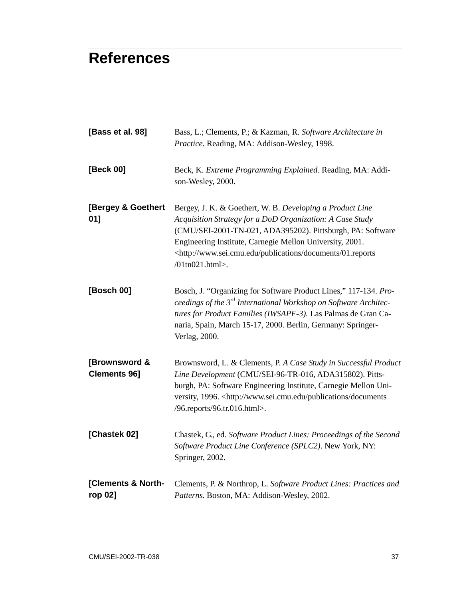# **References**

| [Bass et al. 98]                     | Bass, L.; Clements, P.; & Kazman, R. Software Architecture in<br>Practice. Reading, MA: Addison-Wesley, 1998.                                                                                                                                                                                                                                                                    |
|--------------------------------------|----------------------------------------------------------------------------------------------------------------------------------------------------------------------------------------------------------------------------------------------------------------------------------------------------------------------------------------------------------------------------------|
| [Beck 00]                            | Beck, K. Extreme Programming Explained. Reading, MA: Addi-<br>son-Wesley, 2000.                                                                                                                                                                                                                                                                                                  |
| [Bergey & Goethert<br>01]            | Bergey, J. K. & Goethert, W. B. Developing a Product Line<br>Acquisition Strategy for a DoD Organization: A Case Study<br>(CMU/SEI-2001-TN-021, ADA395202). Pittsburgh, PA: Software<br>Engineering Institute, Carnegie Mellon University, 2001.<br><http: 01.reports<br="" documents="" publications="" www.sei.cmu.edu=""><math>/01</math>tn<math>021</math>.html&gt;.</http:> |
| [Bosch 00]                           | Bosch, J. "Organizing for Software Product Lines," 117-134. Pro-<br>ceedings of the 3 <sup>rd</sup> International Workshop on Software Architec-<br>tures for Product Families (IWSAPF-3). Las Palmas de Gran Ca-<br>naria, Spain, March 15-17, 2000. Berlin, Germany: Springer-<br>Verlag, 2000.                                                                                |
| [Brownsword &<br><b>Clements 96]</b> | Brownsword, L. & Clements, P. A Case Study in Successful Product<br>Line Development (CMU/SEI-96-TR-016, ADA315802). Pitts-<br>burgh, PA: Software Engineering Institute, Carnegie Mellon Uni-<br>versity, 1996. < http://www.sei.cmu.edu/publications/documents<br>/96.reports/96.tr.016.html>.                                                                                 |
| [Chastek 02]                         | Chastek, G., ed. Software Product Lines: Proceedings of the Second<br>Software Product Line Conference (SPLC2). New York, NY:<br>Springer, 2002.                                                                                                                                                                                                                                 |
| [Clements & North-<br>rop 02]        | Clements, P. & Northrop, L. Software Product Lines: Practices and<br>Patterns. Boston, MA: Addison-Wesley, 2002.                                                                                                                                                                                                                                                                 |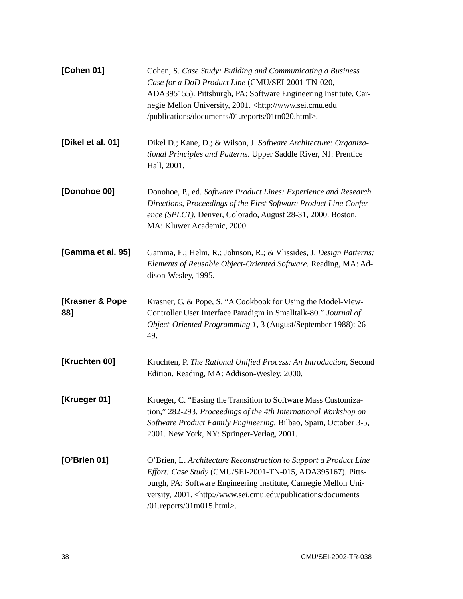| [Cohen 01]             | Cohen, S. Case Study: Building and Communicating a Business<br>Case for a DoD Product Line (CMU/SEI-2001-TN-020,<br>ADA395155). Pittsburgh, PA: Software Engineering Institute, Car-<br>negie Mellon University, 2001. <http: www.sei.cmu.edu<br="">/publications/documents/01.reports/01tn020.html&gt;.</http:>      |
|------------------------|-----------------------------------------------------------------------------------------------------------------------------------------------------------------------------------------------------------------------------------------------------------------------------------------------------------------------|
| [Dikel et al. 01]      | Dikel D.; Kane, D.; & Wilson, J. Software Architecture: Organiza-<br>tional Principles and Patterns. Upper Saddle River, NJ: Prentice<br>Hall, 2001.                                                                                                                                                                  |
| [Donohoe 00]           | Donohoe, P., ed. Software Product Lines: Experience and Research<br>Directions, Proceedings of the First Software Product Line Confer-<br>ence (SPLC1). Denver, Colorado, August 28-31, 2000. Boston,<br>MA: Kluwer Academic, 2000.                                                                                   |
| [Gamma et al. 95]      | Gamma, E.; Helm, R.; Johnson, R.; & Vlissides, J. Design Patterns:<br>Elements of Reusable Object-Oriented Software. Reading, MA: Ad-<br>dison-Wesley, 1995.                                                                                                                                                          |
| [Krasner & Pope<br>88] | Krasner, G. & Pope, S. "A Cookbook for Using the Model-View-<br>Controller User Interface Paradigm in Smalltalk-80." Journal of<br>Object-Oriented Programming 1, 3 (August/September 1988): 26-<br>49.                                                                                                               |
| [Kruchten 00]          | Kruchten, P. The Rational Unified Process: An Introduction, Second<br>Edition. Reading, MA: Addison-Wesley, 2000.                                                                                                                                                                                                     |
| [Krueger 01]           | Krueger, C. "Easing the Transition to Software Mass Customiza-<br>tion," 282-293. Proceedings of the 4th International Workshop on<br>Software Product Family Engineering. Bilbao, Spain, October 3-5,<br>2001. New York, NY: Springer-Verlag, 2001.                                                                  |
| [O'Brien 01]           | O'Brien, L. Architecture Reconstruction to Support a Product Line<br>Effort: Case Study (CMU/SEI-2001-TN-015, ADA395167). Pitts-<br>burgh, PA: Software Engineering Institute, Carnegie Mellon Uni-<br>versity, 2001. <http: documents<br="" publications="" www.sei.cmu.edu="">/01.reports/01tn015.html&gt;.</http:> |